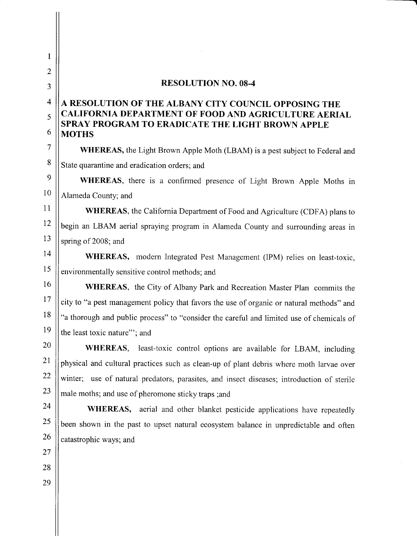## RESOLUTION NO. O8-4

# A RESOLUTION OF THE ALBANY CITY COUNCIL OPPOSING THE CALIFORNIA DEPARTMENT OF FOOD AND AGRICULTURE AERIAL SPRAY PROGRAM TO ERADICATE THE LIGHT BROWN APPLE MOTHS

WHEREAS, the Light Brown Apple Moth (LBAM) is a pest subject to Federal and State quarantine and eradication orders; and

WHEREAS, there is a confirmed presence of Light Brown Apple Moths in Alameda County; and

WHEREAS, the California Department of Food and Agriculture (CDFA) plans to begin an LBAM aerial spraying program in Alameda County and surrounding areas in spring of 2008; and

WHEREAS, modern Integrated Pest Management (IPM) relies on least-toxic, environmentally sensitive control methods; and

WHEREAS, the City of Albany Park and Recreation Master Plan commits the city to "a pest management policy that favors the use of organic or natural methods" and "a thorough and public process" to "consider the careful and limited use of chemicals of the least toxic nature"'; and

WHEREAS, least-toxic control options are available for LBAM, including physical and cultural practices such as clean-up of plant debris where moth larvae over winter; use of natural predators, parasites, and insect diseases; introduction of sterile male moths; and use of pheromone sticky traps ;and

WHEREAS, aerial and other blanket pesticide applications have repeatedly been shown in the past to upset natural ecosystem balance in unpredictable and often catastrophic ways; and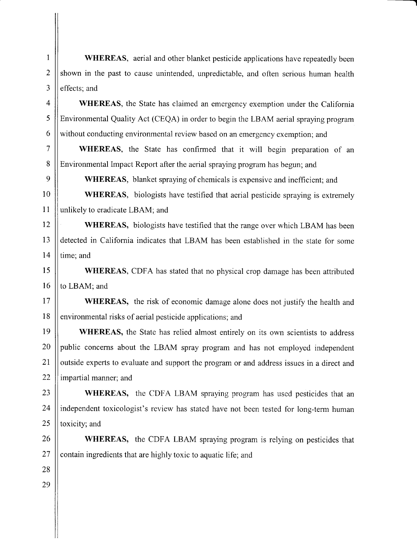WHEREAS, aerial and other blanket pesticide applications have repeatedly been shown in the past to cause unintended, unpredictable, and often serious human health effects; and

WHEREAS, the State has claimed an emergency exemption under the California Environmental Quality Act (CEQA) in order to begin the LBAM aerial spraying program without conducting environmental review based on an emergency exemption; and

WHEREAS, the State has confirmed that it will begin preparation of an Environmental Impact Report after the aerial spraying program has begun; and

WHEREAS, blanket spraying of chemicals is expensive and inefficient; and

WHEREAS, biologists have testified that aerial pesticide spraying is extremely unlikely to eradicate LBAM; and

WHEREAS, biologists have testified that the range over which LBAM has been detected in California indicates that LBAM has been established in the state for some time; and

WHEREAS, CDFA has stated that no physical crop damage has been attributed to LBAM; and

WHEREAS, the risk of economic damage alone does not justify the health and environmental risks of aerial pesticide applications; and

WHEREAS, the State has relied almost entirely on its own scientists to address public concerns about the LBAM spray program and has not employed independent outside experts to evaluate and support the program or and address issues in a direct and impartial manner; and

WHEREAS, the CDFA LBAM spraying program has used pesticides that an independent toxicologist's review has stated have not been tested for long-term human toxicity; and

WHEREAS, the CDFA LBAM spraying program is relying on pesticides that contain ingredients that are highly toxic to aquatic life; and

1

2

J

28 29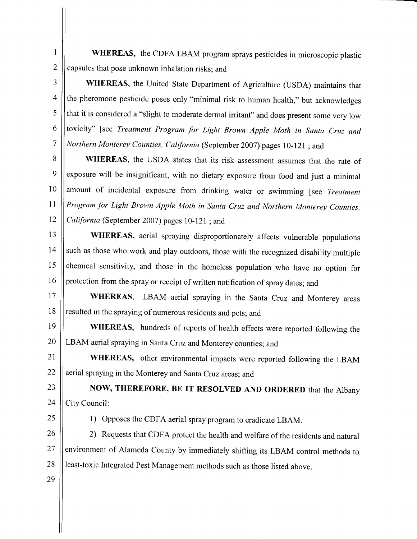1 2 WHEREAS, the CDFA LBAM program sprays pesticides in microscopic plastic capsules that pose unknown inhalation risks; and

3 WHEREAS, the United State Department of Agriculture (USDA) maintains that the pheromone pesticide poses only "minimal risk to human health," but acknowledges 4 5 that it is considered a "slight to moderate dermal irritant" and does present some very low toxicity" [see Treatment Program for Light Brown Apple Moth in Santa Cruz and 6 7 Northern Monterey Counties, California (September 2007) pages 10-121; and

8 9 10 **11**  $12$ WHEREAS, the USDA states that its risk assessment assumes that the rate of exposure will be insignificant, with no dietary exposure from food and just a minimal amount of incidental exposure from drinking water or swimming [see Treatment Program for Light Brown Apple Moth in Santa Cruz and Northern Monterey Counties, California (September 2007) pages 10-121; and

13 l 4 15 16 WHEREAS, aerial spraying disproportionately affects vulnerable populations such as those who work and play outdoors, those with the recognized disability multiple chemical sensitivity, and those in the homeless population who have no option for protection from the spray or receipt of written notification of spray dates; and

1 7 1 8 WHEREAS, LBAM aerial spraying in the Santa Cruz and Monterey areas resulted in the spraying of numerous residents and pets; and

19 20 WHEREAS, hundreds of reports of health effects were reported following the LBAM aerial spraying in Santa Cruz and Monterey counties; and

2 1 22 WHEREAS, other environmental impacts were reported following the LBAM aerial spraying in the Monterey and Santa Cruz areas; and

**23** 24 NOW, THEREFORE, BE IT RESOLVED AND ORDERED that the Albany City Council:

25

1) Opposes the CDFA aerial spray program to eradicate LBAM.

26 27 28 2) Requests that CDFA protect the health and welfare of the residents and natural environment of Alameda County by immediately shifting its LBAM control methods to least-toxic Integrated Pest Management methods such as those listed above.

29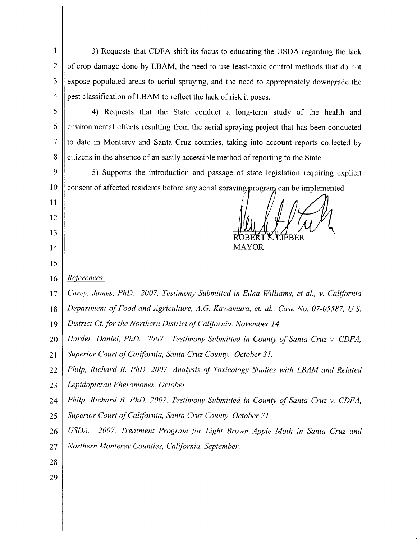I 2 3 4 3) Requests that CDFA shift its focus to educating the USDA regarding the lack of crop damage done by LBAM, the need to use least-toxic control methods that do not expose populated areas to aerial spraying, and the need to appropriately downgrade the pest classification of LBAM to reflect the lack of risk it poses.

5 6 7 8 4) Requests that the State conduct a long-term study of the health and environmental effects resulting from the aerial spraying project that has been conducted to date in Monterey and Santa Cruz counties, taking into account reports collected by citizens in the absence of an easily accessible method of reporting to the State.

9 **10** 5) Supports the introduction and passage of state legislation requiring explicit consent of affected residents before any aerial spraying program, can be implemented.

MAYOR

16 References

1 1

 $12$ 

13

I 4

15

 $17$ Carey, James, PhD. 2007. Testimony Submitted in Edna Williams, et al., v. California

1 8 Department of Food and Agriculture, A.G. Kawamura, et. al., Case No. 07-05587, U.S.

- 19 District Ct. for the Northern District of California. November I4.
- 20 Harder, Daniel, PhD. 2007. Testimony Submitted in County of Santa Cruz v. CDFA,
- 21 Superior Court of California, Santa Cruz County. October 3l.
- 22 Philp, Richard B. PhD. 2007. Analysis of Toxicology Studies with LBAM and Related
- 23 Lepidopteran Pheromones. October.
- 24 Philp, Richard B. PhD. 2007. Testimony Submitted in County of Santa Cruz v. CDFA,
- 25 Superior Court of California, Santa Cruz County. October 31.
- 26 27 USDA. 2007. Treatment Program for Light Brown Apple Moth in Santa Cruz and Northern Monterey Counties, California. September.
- 28
- 29